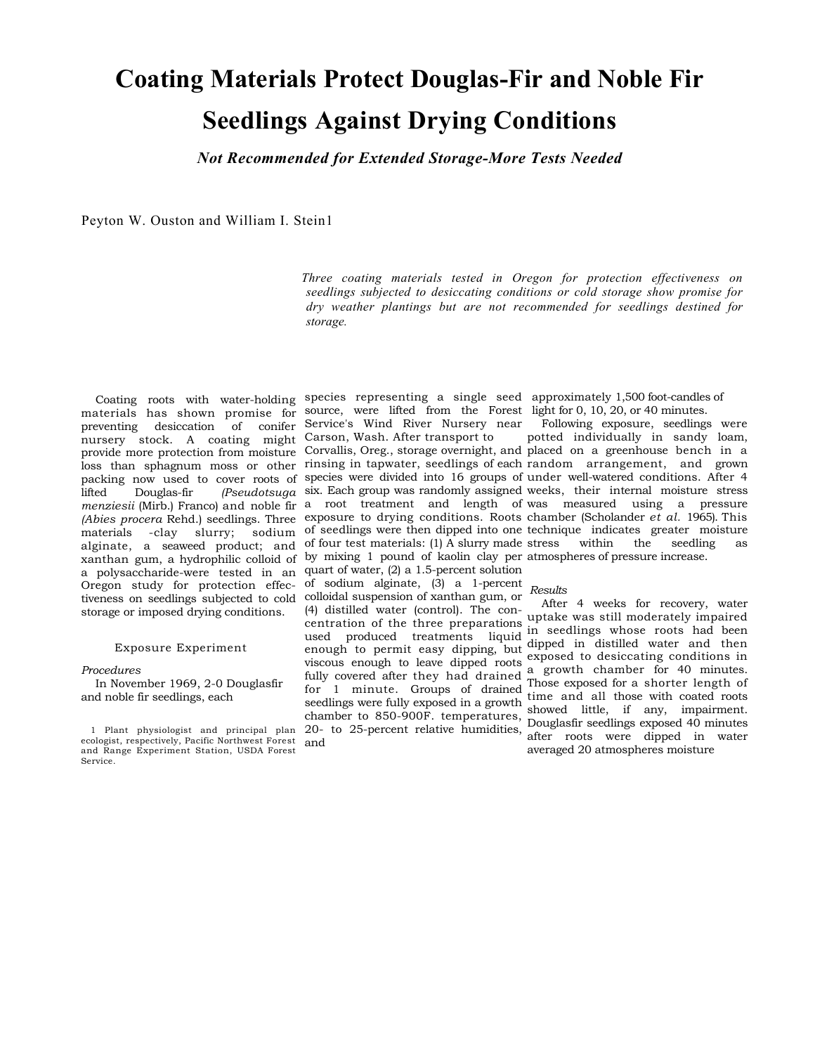# **Coating Materials Protect Douglas-Fir and Noble Fir Seedlings Against Drying Conditions**

*Not Recommended for Extended Storage-More Tests Needed* 

Peyton W. Ouston and William I. Stein1

*Three coating materials tested in Oregon for protection effectiveness on seedlings subjected to desiccating conditions or cold storage show promise for dry weather plantings but are not recommended for seedlings destined for storage.* 

nursery stock. A coating might Carson, Wash. After transport to storage or imposed drying conditions.

#### Exposure Experiment

#### *Procedures*

In November 1969, 2-0 Douglasfir and noble fir seedlings, each

Coating roots with water-holding species representing a single seed approximately 1,500 foot-candles of materials has shown promise for source, were lifted from the Forest light for 0, 10, 20, or 40 minutes. preventing desiccation of conifer Service's Wind River Nursery near alginate, a seaweed product; and of four test materials: (1) A slurry made xanthan gum, a hydrophilic colloid of by mixing 1 pound of kaolin clay per atmospheres of pressure increase. a polysaccharide-were tested in an quart of water, (2) a 1.5-percent solution Oregon study for protection effec-of sodium alginate, (3) a 1-percent tiveness on seedlings subjected to cold colloidal suspension of xanthan gum, or (4) distilled water (control). The conviscous enough to leave dipped roots for 1 minute. Groups of drained seedlings were fully exposed in a growth chamber to 850-900F. temperatures, 20- to 25-percent relative humidities, and

provide more protection from moisture Corvallis, Oreg., storage overnight, and placed on a greenhouse bench in a  $\hat{\text{loss}}$  than sphagnum moss or other rinsing in tapwater, seedlings of each random  $\hat{\text{array} }$  arrangement, and grown packing now used to cover roots of species were divided into 16 groups of under well-watered conditions. After 4 lifted Douglas-fir *(Pseudotsuga*  six. Each group was randomly assigned weeks, their internal moisture stress *menziesii* (Mirb.) Franco) and noble fir a root treatment and length of was measured using a pressure *(Abies procera* Rehd.) seedlings. Three exposure to drying conditions. Roots chamber (Scholander *et al.* 1965). This materials -clay slurry; sodium of seedlings were then dipped into one technique indicates greater moisture Following exposure, seedlings were potted individually in sandy loam, within the seedling as

### *Results*

 $\frac{1}{1}$  centration of the three preparations  $\frac{1}{1}$  and  $\frac{1}{2}$  and  $\frac{1}{2}$  and  $\frac{1}{2}$  and  $\frac{1}{2}$  and  $\frac{1}{2}$  and  $\frac{1}{2}$  and  $\frac{1}{2}$  and  $\frac{1}{2}$  and  $\frac{1}{2}$  and  $\frac{1}{2}$  and  $\frac{1}{2}$  and  $\frac{1}{$ echination of the time preparations in seedlings whose roots had been<br>used produced treatments liquid time of in distilled water and then used produced dreatments nquid dipped in distilled water and then<br>enough to permit easy dipping, but had the covered after they had drained a growth chamber for 40 minutes. After 4 weeks for recovery, water dipped in distilled water and then exposed to desiccating conditions in Those exposed for a shorter length of time and all those with coated roots showed little, if any, impairment. Douglasfir seedlings exposed 40 minutes after roots were dipped in water averaged 20 atmospheres moisture

<sup>1</sup> Plant physiologist and principal plan ecologist, respectively, Pacific Northwest Forest and Range Experiment Station, USDA Forest Service.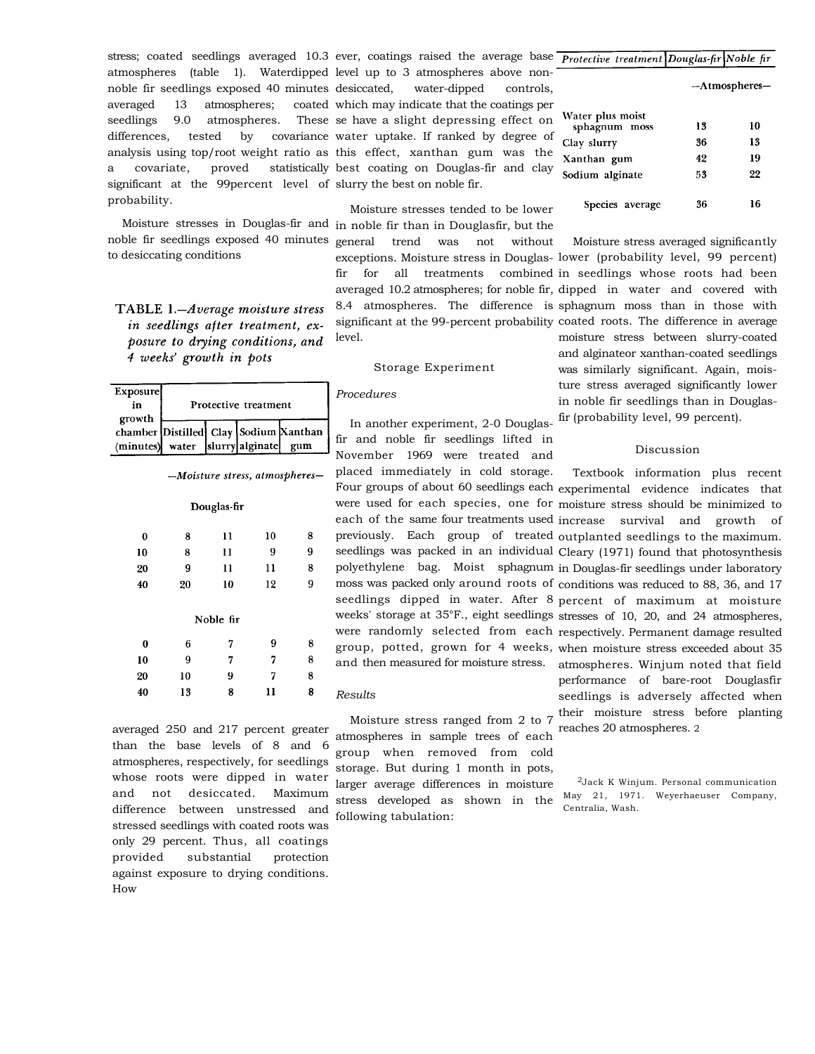stress; coated seedlings averaged 10.3 ever, coatings raised the average base noble fir seedlings exposed 40 minutes averaged 13 atmospheres; seedlings 9.0 atmospheres. significant at the 99percent level of slurry the best on noble fir. probability.

to desiccating conditions

TABLE 1.-Average moisture stress in seedlings after treatment, exposure to drying conditions, and 4 weeks' growth in pots

| <b>Exposure</b><br>ın<br>growth | Protective treatment |  |                 |                                              |
|---------------------------------|----------------------|--|-----------------|----------------------------------------------|
| (minutes) water                 |                      |  | slurry alginate | chamber Distilled Clay Sodium Xanthan<br>gum |

|             | $-Moisture stress, aimos pure res-$ |
|-------------|-------------------------------------|
| Douglas-fir |                                     |
|             |                                     |

| $\bf{0}$ | 8  | 11        | 10 | 8 |
|----------|----|-----------|----|---|
| 10       | 8  | 11        | 9  | 9 |
| 20       | 9  | 11        | 11 | 8 |
| 40       | 20 | 10        | 12 | 9 |
|          |    | Noble fir |    |   |
|          |    |           |    |   |
| 0        | 6  | 7         | 9  | 8 |
| 10       | 9  | 7         | 7  | 8 |
| 20       | 10 | 9         | 7  | 8 |
| 40       | 13 | 8         | 11 | 8 |

averaged 250 and 217 percent greater than the base levels of 8 and 6 atmospheres, respectively, for seedlings whose roots were dipped in water and not desiccated. Maximum difference between unstressed and stressed seedlings with coated roots was only 29 percent. Thus, all coatings provided substantial protection against exposure to drying conditions. How

atmospheres (table 1). Waterdipped level up to 3 atmospheres above nondifferences, tested by covariance water uptake. If ranked by degree of analysis using top/root weight ratio as this effect, xanthan gum was the a covariate, proved statistically best coating on Douglas-fir and clay water-dipped controls, coated which may indicate that the coatings per These se have a slight depressing effect on

Moisture stresses in Douglas-fir and in noble fir than in Douglasfir, but the noble fir seedlings exposed 40 minutes general trend was not without Moisture stresses tended to be lower level.

# Storage Experiment

# *Procedures*

In another experiment, 2-0 Douglasfir and noble fir seedlings lifted in November 1969 were treated and placed immediately in cold storage.

#### *Results*

Moisture stress ranged from 2 to 7 atmospheres in sample trees of each group when removed from cold storage. But during 1 month in pots, larger average differences in moisture stress developed as shown in the following tabulation:

| ртонестве театтери робена работе п |                  |    |
|------------------------------------|------------------|----|
|                                    | $-A$ tmospheres- |    |
| Water plus moist<br>sphagnum moss  | 13               | 10 |
| Clay slurry                        | 36               | 13 |
| Xanthan gum                        | 42               | 19 |
| Sodium alginate                    | 53               | 22 |
| Species average                    | 36               | 16 |

exceptions. Moisture stress in Douglas-lower (probability level, 99 percent) fir for all treatments combined in seedlings whose roots had been averaged 10.2 atmospheres; for noble fir, dipped in water and covered with 8.4 atmospheres. The difference is sphagnum moss than in those with significant at the 99-percent probability coated roots. The difference in average Moisture stress averaged significantly moisture stress between slurry-coated and alginateor xanthan-coated seedlings was similarly significant. Again, moisture stress averaged significantly lower in noble fir seedlings than in Douglasfir (probability level, 99 percent).

## Discussion

Four groups of about 60 seedlings each experimental evidence indicates that were used for each species, one for moisture stress should be minimized to each of the same four treatments used increase survival and growth of previously. Each group of treated outplanted seedlings to the maximum. seedlings was packed in an individual Cleary (1971) found that photosynthesis polyethylene bag. Moist sphagnum in Douglas-fir seedlings under laboratory moss was packed only around roots of conditions was reduced to 88, 36, and 17 seedlings dipped in water. After 8 percent of maximum at moisture weeks' storage at 35°F., eight seedlings stresses of 10, 20, and 24 atmospheres, were randomly selected from each respectively. Permanent damage resulted group, potted, grown for 4 weeks, when moisture stress exceeded about 35 and then measured for moisture stress. atmospheres. Winjum noted that field Textbook information plus recent performance of bare-root Douglasfir seedlings is adversely affected when their moisture stress before planting reaches 20 atmospheres. 2

> 2Jack K Winjum. Personal communication May 21, 1971. Weyerhaeuser Company, Centralia, Wash.